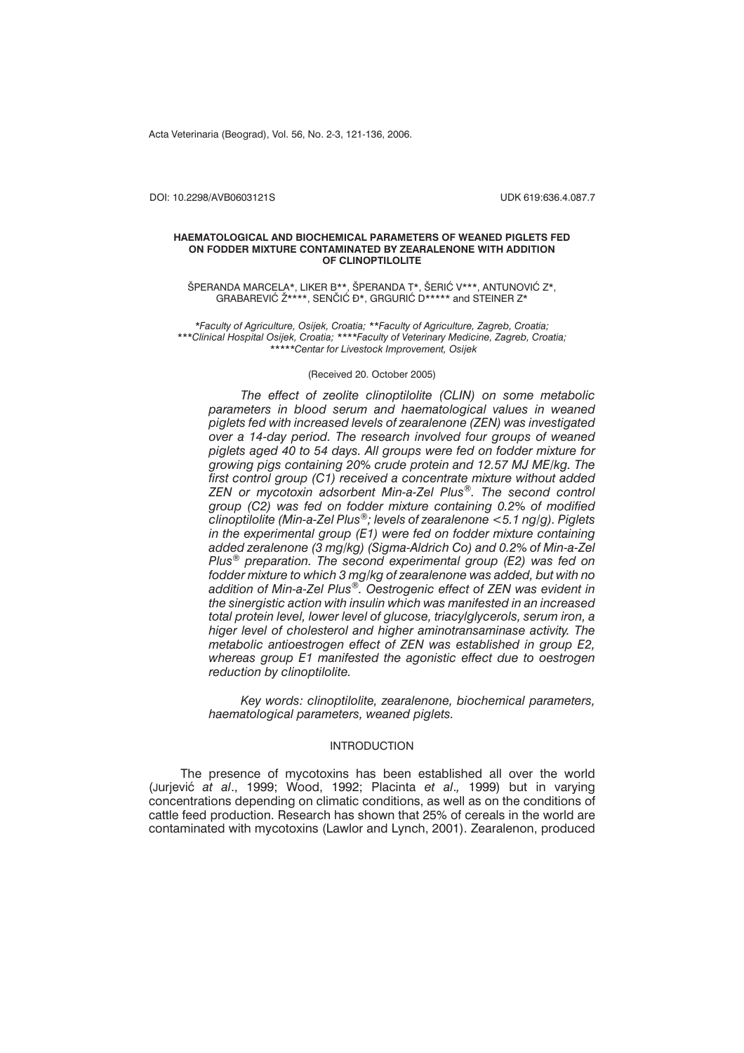Acta Veterinaria (Beograd), Vol. 56, No. 2-3, 121-136, 2006.

DOI: 10.2298/AVB0603121S UDK 619:636.4.087.7

#### **HAEMATOLOGICAL AND BIOCHEMICAL PARAMETERS OF WEANED PIGLETS FED ON FODDER MIXTURE CONTAMINATED BY ZEARALENONE WITH ADDITION OF CLINOPTILOLITE**

ŠPERANDA MARCELA\*, LIKER B\*\*, ŠPERANDA T\*, ŠERIĆ V\*\*\*, ANTUNOVIĆ Z\*, GRABAREVIĆ  $\check{Z}^{***}$ , SENČIĆ Đ\*, GRGURIĆ D\*\*\*\*\* and STEINER  $\check{Z}^*$ 

*\*Faculty of Agriculture, Osijek, Croatia; \*\*Faculty of Agriculture, Zagreb, Croatia; \*\*\*Clinical Hospital Osijek, Croatia; \*\*\*\*Faculty of Veterinary Medicine, Zagreb, Croatia; \*\*\*\*\*Centar for Livestock Improvement, Osijek*

### (Received 20. October 2005)

*The effect of zeolite clinoptilolite (CLIN) on some metabolic parameters in blood serum and haematological values in weaned piglets fed with increased levels of zearalenone (ZEN) was investigated over a 14-day period. The research involved four groups of weaned piglets aged 40 to 54 days. All groups were fed on fodder mixture for growing pigs containing 20% crude protein and 12.57 MJ ME/kg. The first control group (C1) received a concentrate mixture without added ZEN or mycotoxin adsorbent Min-a-Zel Plus®. The second control group (C2) was fed on fodder mixture containing 0.2% of modified clinoptilolite (Min-a-Zel Plus®; levels of zearalenone <5.1 ng/g). Piglets in the experimental group (E1) were fed on fodder mixture containing added zeralenone (3 mg/kg) (Sigma-Aldrich Co) and 0.2% of Min-a-Zel Plus® preparation. The second experimental group (E2) was fed on fodder mixture to which 3 mg/kg of zearalenone was added, but with no addition of Min-a-Zel Plus®. Oestrogenic effect of ZEN was evident in the sinergistic action with insulin which was manifested in an increased total protein level, lower level of glucose, triacylglycerols, serum iron, a higer level of cholesterol and higher aminotransaminase activity. The metabolic antioestrogen effect of ZEN was established in group E2, whereas group E1 manifested the agonistic effect due to oestrogen reduction by clinoptilolite.*

*Key words: clinoptilolite, zearalenone, biochemical parameters, haematological parameters, weaned piglets.*

### INTRODUCTION

The presence of mycotoxins has been established all over the world (Jurjevi} *at al*., 1999; Wood, 1992; Placinta *et al*.*,* 1999) but in varying concentrations depending on climatic conditions, as well as on the conditions of cattle feed production. Research has shown that 25% of cereals in the world are contaminated with mycotoxins (Lawlor and Lynch, 2001). Zearalenon, produced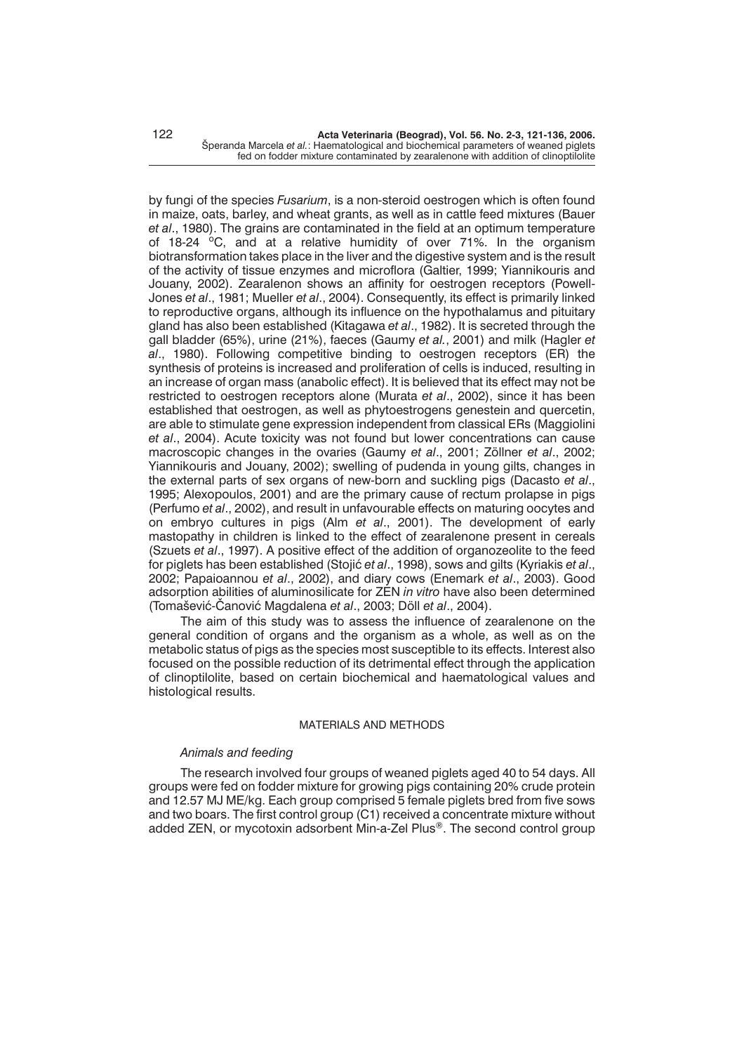by fungi of the species *Fusarium*, is a non-steroid oestrogen which is often found in maize, oats, barley, and wheat grants, as well as in cattle feed mixtures (Bauer *et al*., 1980). The grains are contaminated in the field at an optimum temperature of 18-24  $\degree$ C, and at a relative humidity of over 71%. In the organism biotransformation takes place in the liver and the digestive system and is the result of the activity of tissue enzymes and microflora (Galtier, 1999; Yiannikouris and Jouany, 2002). Zearalenon shows an affinity for oestrogen receptors (Powell-Jones *et al*., 1981; Mueller *et al*., 2004). Consequently, its effect is primarily linked to reproductive organs, although its influence on the hypothalamus and pituitary gland has also been established (Kitagawa *et al*., 1982). It is secreted through the gall bladder (65%), urine (21%), faeces (Gaumy *et al.*, 2001) and milk (Hagler *et al*., 1980). Following competitive binding to oestrogen receptors (ER) the synthesis of proteins is increased and proliferation of cells is induced, resulting in an increase of organ mass (anabolic effect). It is believed that its effect may not be restricted to oestrogen receptors alone (Murata *et al*., 2002), since it has been established that oestrogen, as well as phytoestrogens genestein and quercetin, are able to stimulate gene expression independent from classical ERs (Maggiolini *et al*., 2004). Acute toxicity was not found but lower concentrations can cause macroscopic changes in the ovaries (Gaumy *et al*., 2001; Zöllner *et al*., 2002; Yiannikouris and Jouany, 2002); swelling of pudenda in young gilts, changes in the external parts of sex organs of new-born and suckling pigs (Dacasto *et al*., 1995; Alexopoulos, 2001) and are the primary cause of rectum prolapse in pigs (Perfumo *et al*., 2002), and result in unfavourable effects on maturing oocytes and on embryo cultures in pigs (Alm *et al*., 2001). The development of early mastopathy in children is linked to the effect of zearalenone present in cereals (Szuets *et al*., 1997). A positive effect of the addition of organozeolite to the feed for piglets has been established (Stojić *et al.*, 1998), sows and gilts (Kyriakis *et al.*, 2002; Papaioannou *et al*., 2002), and diary cows (Enemark *et al*., 2003). Good adsorption abilities of aluminosilicate for ZEN *in vitro* have also been determined (Toma{evi}-^anovi} Magdalena *et al*., 2003; Döll *et al*., 2004).

The aim of this study was to assess the influence of zearalenone on the general condition of organs and the organism as a whole, as well as on the metabolic status of pigs as the species most susceptible to its effects. Interest also focused on the possible reduction of its detrimental effect through the application of clinoptilolite, based on certain biochemical and haematological values and histological results.

## MATERIALS AND METHODS

## *Animals and feeding*

The research involved four groups of weaned piglets aged 40 to 54 days. All groups were fed on fodder mixture for growing pigs containing 20% crude protein and 12.57 MJ ME/kg. Each group comprised 5 female piglets bred from five sows and two boars. The first control group (C1) received a concentrate mixture without added ZEN, or mycotoxin adsorbent Min-a-Zel Plus®. The second control group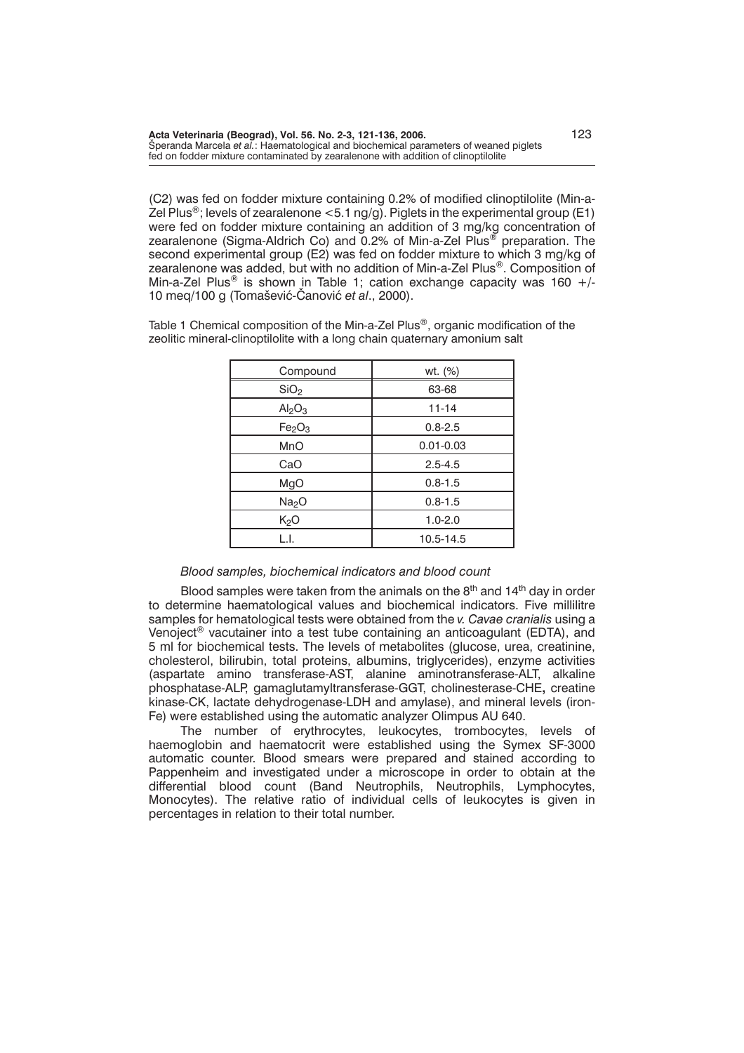(C2) was fed on fodder mixture containing 0.2% of modified clinoptilolite (Min-a-Zel Plus<sup>®</sup>; levels of zearalenone <5.1 ng/g). Piglets in the experimental group (E1) were fed on fodder mixture containing an addition of 3 mg/kg concentration of zearalenone (Sigma-Aldrich Co) and 0.2% of Min-a-Zel Plus<sup>®</sup> preparation. The second experimental group (E2) was fed on fodder mixture to which 3 mg/kg of zearalenone was added, but with no addition of Min-a-Zel Plus®. Composition of Min-a-Zel Plus<sup>®</sup> is shown in Table 1; cation exchange capacity was 160 +/-10 meg/100 g (Tomašević-Čanović et al., 2000).

Table 1 Chemical composition of the Min-a-Zel Plus<sup>®</sup>, organic modification of the zeolitic mineral-clinoptilolite with a long chain quaternary amonium salt

| Compound                       | wt. (%)       |  |  |  |
|--------------------------------|---------------|--|--|--|
| SiO <sub>2</sub>               | 63-68         |  |  |  |
| Al <sub>2</sub> O <sub>3</sub> | $11 - 14$     |  |  |  |
| Fe <sub>2</sub> O <sub>3</sub> | $0.8 - 2.5$   |  |  |  |
| <b>MnO</b>                     | $0.01 - 0.03$ |  |  |  |
| CaO                            | $2.5 - 4.5$   |  |  |  |
| MgO                            | $0.8 - 1.5$   |  |  |  |
| Na <sub>2</sub> O              | $0.8 - 1.5$   |  |  |  |
| K <sub>2</sub> O               | $1.0 - 2.0$   |  |  |  |
| L.I.                           | 10.5-14.5     |  |  |  |

## *Blood samples, biochemical indicators and blood count*

Blood samples were taken from the animals on the  $8<sup>th</sup>$  and 14<sup>th</sup> day in order to determine haematological values and biochemical indicators. Five millilitre samples for hematological tests were obtained from the *v. Cavae cranialis* using a Venoject® vacutainer into a test tube containing an anticoagulant (EDTA), and 5 ml for biochemical tests. The levels of metabolites (glucose, urea, creatinine, cholesterol, bilirubin, total proteins, albumins, triglycerides), enzyme activities (aspartate amino transferase-AST, alanine aminotransferase-ALT, alkaline phosphatase-ALP, gamaglutamyltransferase-GGT, cholinesterase-CHE**,** creatine kinase-CK, lactate dehydrogenase-LDH and amylase), and mineral levels (iron-Fe) were established using the automatic analyzer Olimpus AU 640.

The number of erythrocytes, leukocytes, trombocytes, levels of haemoglobin and haematocrit were established using the Symex SF-3000 automatic counter. Blood smears were prepared and stained according to Pappenheim and investigated under a microscope in order to obtain at the differential blood count (Band Neutrophils, Neutrophils, Lymphocytes, Monocytes). The relative ratio of individual cells of leukocytes is given in percentages in relation to their total number.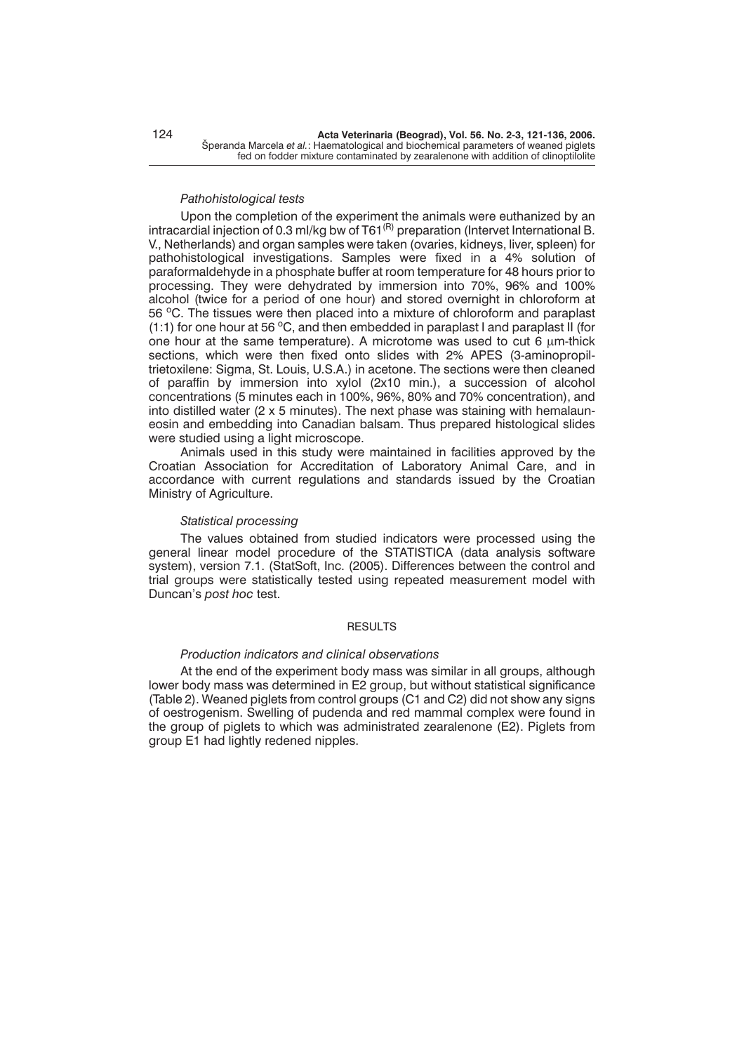### *Pathohistological tests*

Upon the completion of the experiment the animals were euthanized by an intracardial injection of 0.3 ml/kg bw of T61 $^{(R)}$  preparation (Intervet International B. V., Netherlands) and organ samples were taken (ovaries, kidneys, liver, spleen) for pathohistological investigations. Samples were fixed in a 4% solution of paraformaldehyde in a phosphate buffer at room temperature for 48 hours prior to processing. They were dehydrated by immersion into 70%, 96% and 100% alcohol (twice for a period of one hour) and stored overnight in chloroform at 56 °C. The tissues were then placed into a mixture of chloroform and paraplast (1:1) for one hour at 56  $\mathrm{^{\circ}C}$ , and then embedded in paraplast I and paraplast II (for one hour at the same temperature). A microtome was used to cut  $6 \mu m$ -thick sections, which were then fixed onto slides with 2% APES (3-aminopropiltrietoxilene: Sigma, St. Louis, U.S.A.) in acetone. The sections were then cleaned of paraffin by immersion into xylol (2x10 min.), a succession of alcohol concentrations (5 minutes each in 100%, 96%, 80% and 70% concentration), and into distilled water (2 x 5 minutes). The next phase was staining with hemalauneosin and embedding into Canadian balsam. Thus prepared histological slides were studied using a light microscope.

Animals used in this study were maintained in facilities approved by the Croatian Association for Accreditation of Laboratory Animal Care, and in accordance with current regulations and standards issued by the Croatian Ministry of Agriculture.

## *Statistical processing*

The values obtained from studied indicators were processed using the general linear model procedure of the STATISTICA (data analysis software system), version 7.1. (StatSoft, Inc. (2005). Differences between the control and trial groups were statistically tested using repeated measurement model with Duncan's *post hoc* test.

# RESULTS

## *Production indicators and clinical observations*

At the end of the experiment body mass was similar in all groups, although lower body mass was determined in E2 group, but without statistical significance (Table 2). Weaned piglets from control groups (C1 and C2) did not show any signs of oestrogenism. Swelling of pudenda and red mammal complex were found in the group of piglets to which was administrated zearalenone (E2). Piglets from group E1 had lightly redened nipples.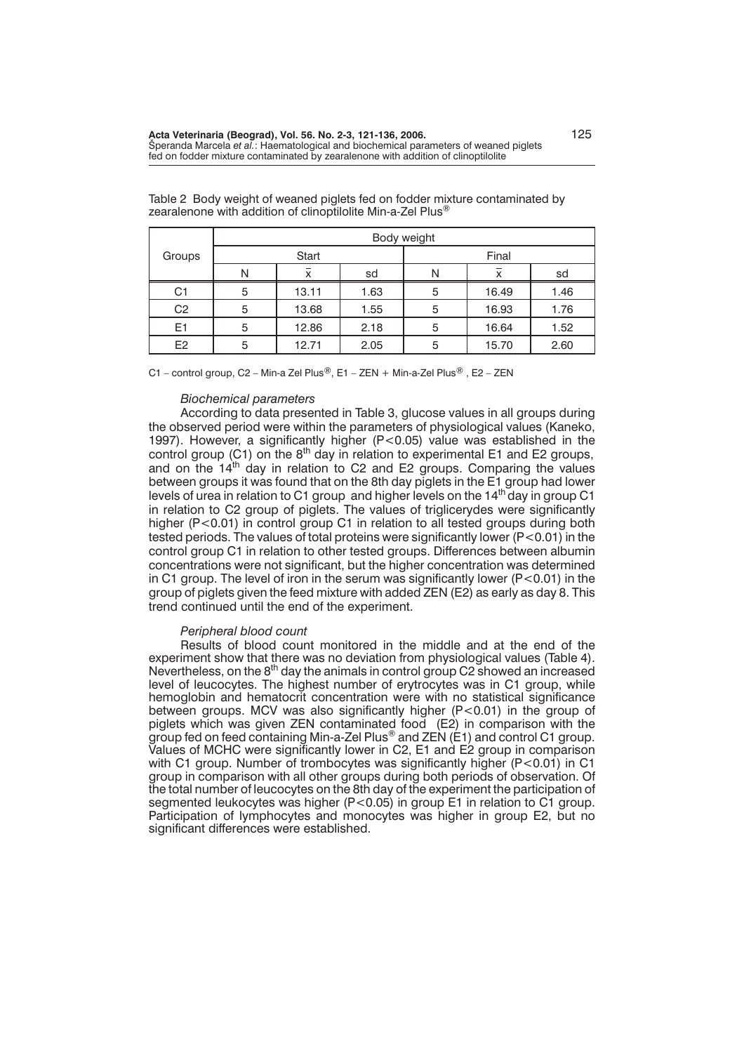|                |   |       |      | Body weight |       |      |
|----------------|---|-------|------|-------------|-------|------|
| Groups         |   | Start |      |             | Final |      |
|                | N | X     | sd   | N           | X     | sd   |
| C <sub>1</sub> | 5 | 13.11 | 1.63 | 5           | 16.49 | 1.46 |
| C <sub>2</sub> | 5 | 13.68 | 1.55 | 5           | 16.93 | 1.76 |
| E1             | 5 | 12.86 | 2.18 | 5           | 16.64 | 1.52 |
| E2             | 5 | 12.71 | 2.05 | 5           | 15.70 | 2.60 |

Table 2 Body weight of weaned piglets fed on fodder mixture contaminated by zearalenone with addition of clinoptilolite Min-a-Zel Plus<sup>®</sup>

C1 – control group, C2 – Min-a Zel Plus®, E1 – ZEN + Min-a-Zel Plus®, E2 – ZEN

### *Biochemical parameters*

According to data presented in Table 3, glucose values in all groups during the observed period were within the parameters of physiological values (Kaneko, 1997). However, a significantly higher (P<0.05) value was established in the control group (C1) on the  $8<sup>th</sup>$  day in relation to experimental E1 and E2 groups, and on the  $14<sup>th</sup>$  day in relation to C2 and E2 groups. Comparing the values between groups it was found that on the 8th day piglets in the E1 group had lower levels of urea in relation to C1 group and higher levels on the  $14<sup>th</sup>$  day in group C1 in relation to C2 group of piglets. The values of triglicerydes were significantly higher (P<0.01) in control group C1 in relation to all tested groups during both tested periods. The values of total proteins were significantly lower (P<0.01) in the control group C1 in relation to other tested groups. Differences between albumin concentrations were not significant, but the higher concentration was determined in C1 group. The level of iron in the serum was significantly lower  $(P<0.01)$  in the group of piglets given the feed mixture with added ZEN (E2) as early as day 8. This trend continued until the end of the experiment.

## *Peripheral blood count*

Results of blood count monitored in the middle and at the end of the experiment show that there was no deviation from physiological values (Table 4). Nevertheless, on the  $8<sup>th</sup>$  day the animals in control group C2 showed an increased level of leucocytes. The highest number of erytrocytes was in C1 group, while hemoglobin and hematocrit concentration were with no statistical significance between groups. MCV was also significantly higher (P<0.01) in the group of piglets which was given ZEN contaminated food (E2) in comparison with the group fed on feed containing Min-a-Zel Plus® and ZEN (E1) and control C1 group. Values of MCHC were significantly lower in C2, E1 and E2 group in comparison with C1 group. Number of trombocytes was significantly higher (P<0.01) in C1 group in comparison with all other groups during both periods of observation. Of the total number of leucocytes on the 8th day of the experiment the participation of segmented leukocytes was higher (P<0.05) in group E1 in relation to C1 group. Participation of lymphocytes and monocytes was higher in group E2, but no significant differences were established.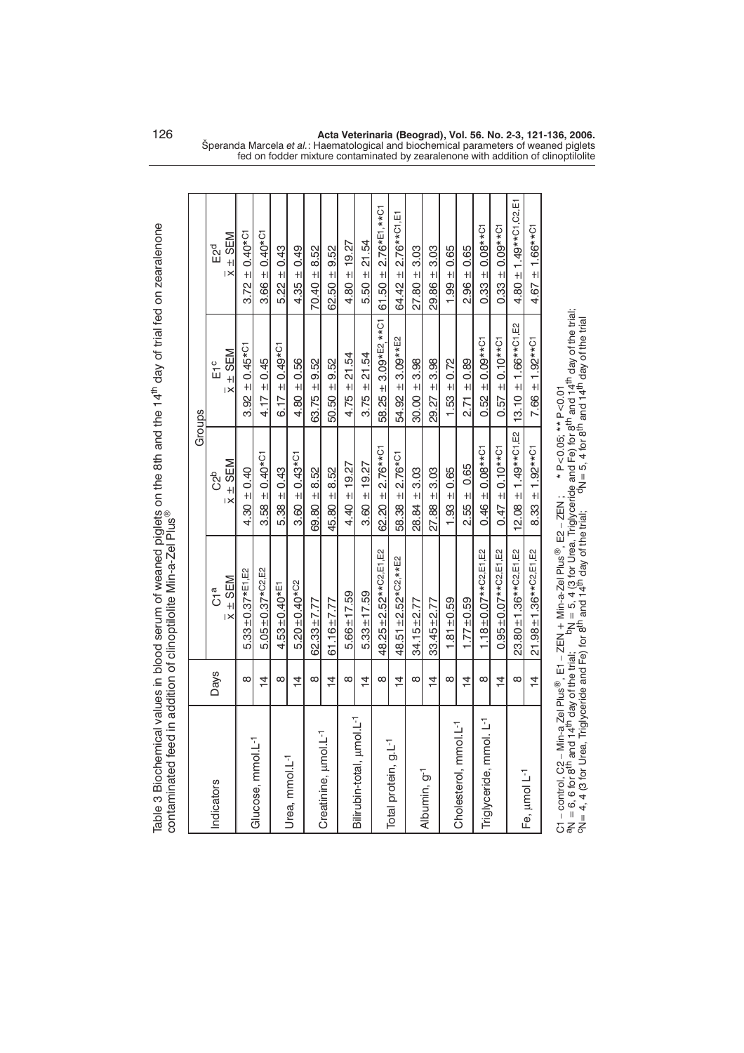|                            |               | contaminated feed in addition of clinoptilolite Min-a-Zel Plus <sup>®</sup> |                                           |                                |                          |
|----------------------------|---------------|-----------------------------------------------------------------------------|-------------------------------------------|--------------------------------|--------------------------|
|                            |               |                                                                             |                                           | Groups                         |                          |
| Indicators                 | <b>Days</b>   | a<br>G                                                                      | C <sub>2b</sub>                           | E1c                            | Е2 <sup>d</sup>          |
|                            |               | $\overline{x}$ $\pm$ SEM                                                    | $\overline{x} \pm \underline{\text{SEM}}$ | $\overline{x}$ $\pm$ SEM       | $\bar{x} \pm$ SEM        |
|                            | $\infty$      | $5.33 \pm 0.37$ *E1, E2                                                     | $4.30 \pm 0.40$                           | $3.92 \pm 0.45*$ <sup>c1</sup> | $3.72 \pm 0.40*$ C1      |
| Glucose, mmol.L-1          | $\frac{1}{4}$ | $5.05 \pm 0.37$ *C2,E2                                                      | $3.58 \pm 0.40*$ C1                       | $4.17 \pm 0.45$                | $3.66 \pm 0.40*$ C1      |
|                            | ∞             | $4.53 \pm 0.40*$ E1                                                         | $5.38 \pm 0.43$                           | $6.17 \pm 0.49*$ <sup>C1</sup> | $5.22 \pm 0.43$          |
| Urea, mmol.L <sup>-1</sup> | $\frac{4}{4}$ | $5.20 \pm 0.40$ *C <sub>2</sub>                                             | $3.60 \pm 0.43$ *C1                       | $4.80 + 0.56$                  | $4.35 \pm 0.49$          |
|                            | ∞             | $62.33 \pm 7.77$                                                            | $69.80 + 8.52$                            | $63.75 \pm 9.52$               | $70.40 \pm 8.52$         |
| Creatinine, umol.L-1       | $\frac{1}{4}$ | 61.16 $\pm$ 7.77                                                            | $45.80 \pm 8.52$                          | $50.50 \pm 9.52$               | $62.50 + 9.52$           |
|                            | $\infty$      | $5.66 \pm 17.59$                                                            | $4.40 \pm 19.27$                          | $4.75 \pm 21.54$               | $4.80 \pm 19.27$         |
| Bilirubin-total, umol.L-1  | $\frac{4}{4}$ | $5.33 \pm 17.59$                                                            | $3.60 \pm 19.27$                          | $3.75 \pm 21.54$               | $5.50 \pm 21.54$         |
|                            | $\infty$      | 48.25±2.52**C2.E1,E2                                                        | $62.20 \pm 2.76***$ C1                    | $58.25 \pm 3.09*E2$ , **C1     | 61.50 $\pm$ 2.76*E1,**C1 |
| Total protein, g.L-1       | $\frac{4}{1}$ | 48.51±2.52*C2,**E2                                                          | $58.38 \pm 2.76^{*}$ C1                   | $54.92 \pm 3.09***$ E2         | 64.42 $\pm$ 2.76** C1.51 |
|                            | $\infty$      | $34.15 \pm 2.77$                                                            | $28.84 \pm 3.03$                          | $30.00 \pm 3.98$               | $27.80 = 3.03$           |
| Albumin, g <sup>-1</sup>   | $\frac{1}{4}$ | $33.45 + 2.77$                                                              | $27.88 \pm 3.03$                          | $29.27 \pm 3.98$               | $29.86 \pm 3.03$         |
|                            | $\infty$      | $1.81 + 0.59$                                                               | $1.93 \pm 0.65$                           | $1.53 \pm 0.72$                | $1.99 \pm 0.65$          |
| Cholesterol, mmol.L-1      | $\frac{4}{4}$ | $1.77 + 0.59$                                                               | $2.55 \pm 0.65$                           | $2.71 \pm 0.89$                | $2.96 \pm 0.65$          |
| Triglyceride, mmol. L-1    | $\infty$      | $1.18 \pm 0.07***$ C2,E1,E2                                                 | $0.46 \pm 0.08***$                        | $0.52 \pm 0.09**$ C1           | $0.33 \pm 0.08***$       |

Table 3 Biochemical values in blood serum of weaned piglets on the 8th and the 14<sup>th</sup> day of trial fed on zearalenone Table 3 Biochemical values in blood serum of weaned piglets on the 8th and the 14<sup>th</sup> day of trial fed on zearalenone

C1 – control, C2 – Min-a Zel Plus®, E1 – ZEN + Min-a-Zel Plus®, E2 – ZEN ; \* P<0.05; \*\* P<0.01<br>aN = 6, 6 for 8<sup>th</sup> and 14<sup>th</sup> day of the trial; <sup>b</sup>N = 5, 4 (3 for Urea, Triglyceride and Fe) for 8<sup>th</sup> and 14<sup>t</sup> aN = 6, 6 for 8<sup>th</sup> and 14<sup>th</sup> day of the trial; <sup>b</sup>N = 5, 4 (3 for Urea, Triglyceride and Fe) for 8<sup>th</sup> and 14<sup>th</sup> day of the trial;<br><sup>c</sup>N= 4, 4 (3 for Urea, Triglyceride and Fe) for 8<sup>th</sup> and 14<sup>th</sup> day of the trial; <sup></sup> ®, E2 – ZEN ; \* P<0.05; \*\* P<0.01  $\overline{\mathbb{B}}$ , E1 – ZEN + Min-a-Zel Plus C1 – control, C2 – Min-a Zel Plus

Fe, umol L-1

 $\frac{4}{3}$  $\infty$ 

14 0.95±0.07\*\*C2,E1,E2 0.47± 0.10\*\*C1 0.57± 0.10\*\*C1 0.33±0.09\*C1 0.33 ± 0.95±0.

 $0.95 \pm 0.07**$ C<sub>2</sub>,E<sub>1</sub>,E<sub>2</sub> 23.80±1.36\*\*C2,E1,E2  $21.98 \pm 1.36***$ C2,E1,E2

 $\frac{4}{1}$ 

 $4.80 \pm 1.49***$ C1,C2,E1  $0.33 \pm 0.09**$ C1

 $13.10 \pm 1.66***$ C1, E2  $0.57 \pm 0.10***$ 

 $7.66 \pm 1.92***$ C1

 $4.67 \pm 1.66***$ C1

 $\mu$ mol L<sup>-1</sup> 8 23.80 $\pm$ 1.36\*\*C2,E1,E2 12.08  $\pm$  1.49\*\*C1,E2 13.10  $\pm$  1.66\*\*C1,E2 4.80  $\pm$  1.49\*\*C1,C2,E1,<br> $\mu$  14 21.98 $\pm$ 1.36\*\*C2,E1,E2 8.33  $\pm$  1.92\*\*C1 7.66  $\pm$  1.92\*\*C1 4.67  $\pm$  1.66\*\*C1

 $8.33 \pm 1.92***$ C1

 $12.08 \pm 1.49***$ C1,E2  $0.47 \pm 0.10***$ C1

126 **Acta Veterinaria (Beograd), Vol. 56. No. 2-3, 121-136, 2006.** Speranda Marcela *et al.*: Haematological and biochemical parameters of weaned piglets fed on fodder mixture contaminated by zearalenone with addition of clinoptilolite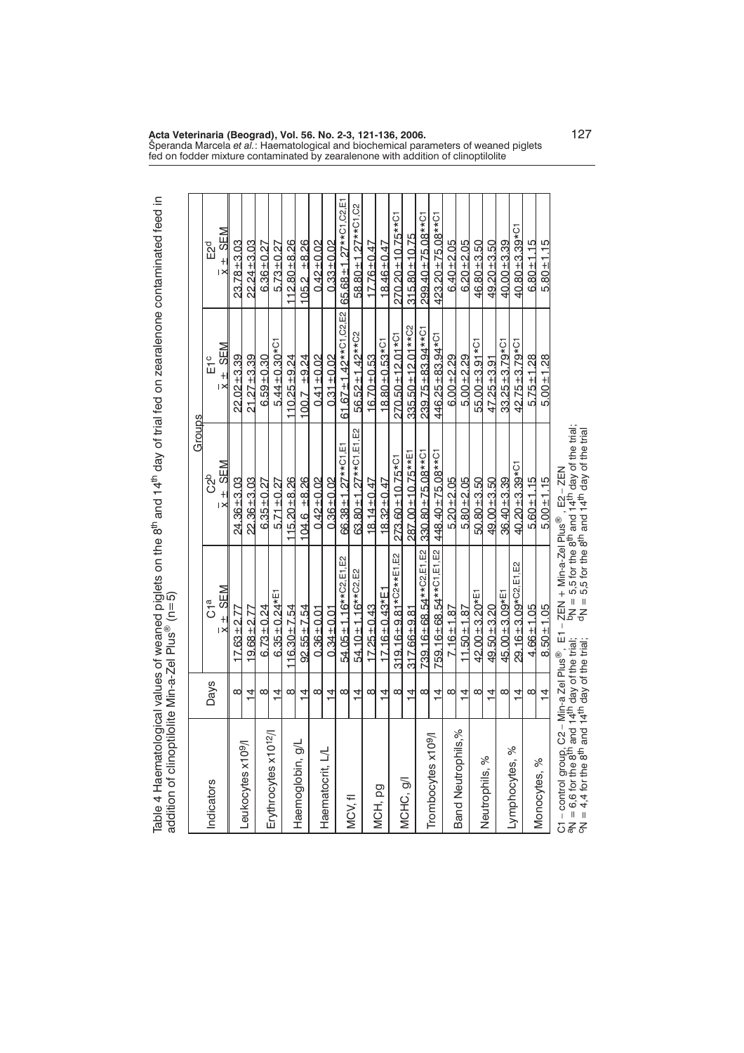|                                   |                |                                                                                                                                                                                                                                                                                                | Groups                             |                                |                              |
|-----------------------------------|----------------|------------------------------------------------------------------------------------------------------------------------------------------------------------------------------------------------------------------------------------------------------------------------------------------------|------------------------------------|--------------------------------|------------------------------|
| Indicators                        | Days           | a<br>Ö                                                                                                                                                                                                                                                                                         | ဦ                                  | с<br>Ш                         | E2d                          |
|                                   |                | $\overline{x}$ + SEM                                                                                                                                                                                                                                                                           | $\overline{x}$ + SEM               | $\overline{x}$ $\pm$ SEM       | $\overline{x}$ + SEM         |
|                                   | $\infty$       | $17.63 + 2.77$                                                                                                                                                                                                                                                                                 | $24.36 \pm 3.03$                   | $22.02 + 3.39$                 | $23.78 + 3.03$               |
| Leukocytes x10 <sup>9</sup> /l    | 过              | $19.68 \pm 2.77$                                                                                                                                                                                                                                                                               | $22.36 + 3.03$                     | $21.27 + 3.39$                 | $22.24 \pm 3.03$             |
|                                   | ∞              | $6.73 \pm 0.24$                                                                                                                                                                                                                                                                                | $6.35 + 0.27$                      | $6.59 + 0.30$                  | $6.36 \pm 0.27$              |
| Erythrocytes x10 <sup>12</sup> /l | $\overline{4}$ | $6.35 \pm 0.24*E1$                                                                                                                                                                                                                                                                             | $5.71 \pm 0.27$                    | $5.44 \pm 0.30 * C1$           | $5.73 + 0.27$                |
|                                   | ∞              | $116.30 \pm 7.54$                                                                                                                                                                                                                                                                              | $115.20 + 8.26$                    | $110.25 + 9.24$                | $112.80 + 8.26$              |
| Haemoglobin, g/L                  | $\overline{4}$ | $92.55 \pm 7.54$                                                                                                                                                                                                                                                                               | $104.6 \pm 8.26$                   | $100.7 + 9.24$                 | $105.2 + 8.26$               |
|                                   | $\infty$       | $0.36 + 0.01$                                                                                                                                                                                                                                                                                  | $0.42 + 0.02$                      | $0.41 \pm 0.02$                | $0.42 \pm 0.02$              |
| Haematocrit, L/L                  | $\overline{4}$ | $0.34 \pm 0.01$                                                                                                                                                                                                                                                                                | $0.36 + 0.02$                      | $0.31 \pm 0.02$                | $0.33 \pm 0.02$              |
|                                   | $\infty$       | 54.05 ± 1.16** C <sub>2</sub> , E1, E2                                                                                                                                                                                                                                                         | 66.38±1.27** <sup>C1,E1</sup>      | $61.67 \pm 1.42***$ C1, C2, E2 | 65.68±1.27**C1,C2,E1         |
| MCV, fl                           | $\overline{4}$ | 54.10 ± 1.16** C2, E2                                                                                                                                                                                                                                                                          | 63.80 ± 1.27** C1, E1, E2          | 56.52 ± 1.42** C <sub>2</sub>  | 58.80 ± 1.27** C1, C2        |
|                                   | ∞              | $17.25 \pm 0.43$                                                                                                                                                                                                                                                                               | $18.14 \pm 0.47$                   | $16.70 + 0.53$                 | $17.76 \pm 0.47$             |
| MCH, pg                           | ゴ              | $17.16 \pm 0.43*$ E1                                                                                                                                                                                                                                                                           | $18.32 + 0.47$                     | $18.80 + 0.53 * C1$            | 18.46±0.47                   |
|                                   | $\infty$       | $319.16 \pm 9.81 * C2* * E1, E2$                                                                                                                                                                                                                                                               | $273.60 \pm 10.75$ * <sup>C1</sup> | $270.50 \pm 12.01 * C1$        | 270.20±10.75** <sup>C1</sup> |
| MCHC, g/l                         | $\overline{4}$ | $317.66 + 9.81$                                                                                                                                                                                                                                                                                | 287.00 ± 10.75** E1                | $335.50 \pm 12.01**C2$         | $315.80 + 10.75$             |
|                                   | $\infty$       | $739.16 \pm 68.54$ ** $C2$ ,E1,E2 330.80 $\pm$ 75.08** $C1$                                                                                                                                                                                                                                    |                                    | 239.75 ± 83.94** C1            | 299.40 ± 75.08** C1          |
| Trombocytes x10 <sup>9</sup> /I   | $\overline{4}$ | 759.16±68.54** <sup>C1,E1,E2</sup> 448.40±75.08** <sup>C1</sup>                                                                                                                                                                                                                                |                                    | 446.25±83.94* <sup>C1</sup>    | 423.20±75.08** <sup>C1</sup> |
|                                   | ∞              | $7.16 \pm 1.87$                                                                                                                                                                                                                                                                                | $5.20 + 2.05$                      | $6.00 + 2.29$                  | $6.40 + 2.05$                |
| Band Neutrophils,%                | $\overline{4}$ | $11.50 \pm 1.87$                                                                                                                                                                                                                                                                               | $5.80 + 2.05$                      | $5.00 + 2.29$                  | $6.20 + 2.05$                |
|                                   | $\infty$       | $42.00 + 3.20 * E1$                                                                                                                                                                                                                                                                            | $50.80 + 3.50$                     | $55.00 + 3.91 * C1$            | $46.80 + 3.50$               |
| Neutrophils, %                    | $\overline{4}$ | $49.50 + 3.20$                                                                                                                                                                                                                                                                                 | $49.00 + 3.50$                     | $47.25 + 3.91$                 | $49.20 + 3.50$               |
|                                   | ∞              | $45.00 + 3.09*$ <sup>E1</sup>                                                                                                                                                                                                                                                                  | $36.40 + 3.39$                     | $33.25 + 3.79 * C1$            | $40.00 + 3.39$               |
| Lymphocytes, %                    | 뇌              | 29.16±3.09*C2.E1.E2                                                                                                                                                                                                                                                                            | $40.20 + 3.39 * C1$                | 42.75±3.79* <sup>C1</sup>      | $40.80 + 3.39 * C1$          |
|                                   | ∞              | $4.66 \pm 1.05$                                                                                                                                                                                                                                                                                | $5.60 + 1.15$                      | $5.75 \pm 1.28$                | $6.80 \pm 1.15$              |
| Monocytes, %                      | $\frac{1}{4}$  | $8.50 \pm 1.05$                                                                                                                                                                                                                                                                                | $5.00 + 1.15$                      | $5.00 + 1.28$                  | $5.80 + 1.15$                |
|                                   |                | C1 – control group, C2 – Min-a Zel Plus®, E1 – ZEN + Min-a-Zel Plus®, E2 – ZEN<br>aN = 6,6 for the 8 <sup>th</sup> and 14 <sup>th</sup> day of the trial; bN = 5,5 for the 8 <sup>th</sup> and 14 <sup>th</sup> day of the trial;<br>cN = 4,4 for the 8 <sup>th</sup> and 14 <sup>th</sup> day |                                    |                                |                              |

Table 4 Haematological values of weaned piglets on the 8<sup>th</sup> and 14<sup>th</sup> day of trial fed on zearalenone contaminated feed in<br>addition of clinoptilolite Min-a-Zel Plus® (n=5) ® (n=5)

**Acta Veterinaria (Beograd), Vol. 56. No. 2-3, 121-136, 2006.** 127 Speranda Marcela *et al.*: Haematological and biochemical parameters of weaned piglets fed on fodder mixture contaminated by zearalenone with addition of clinoptilolite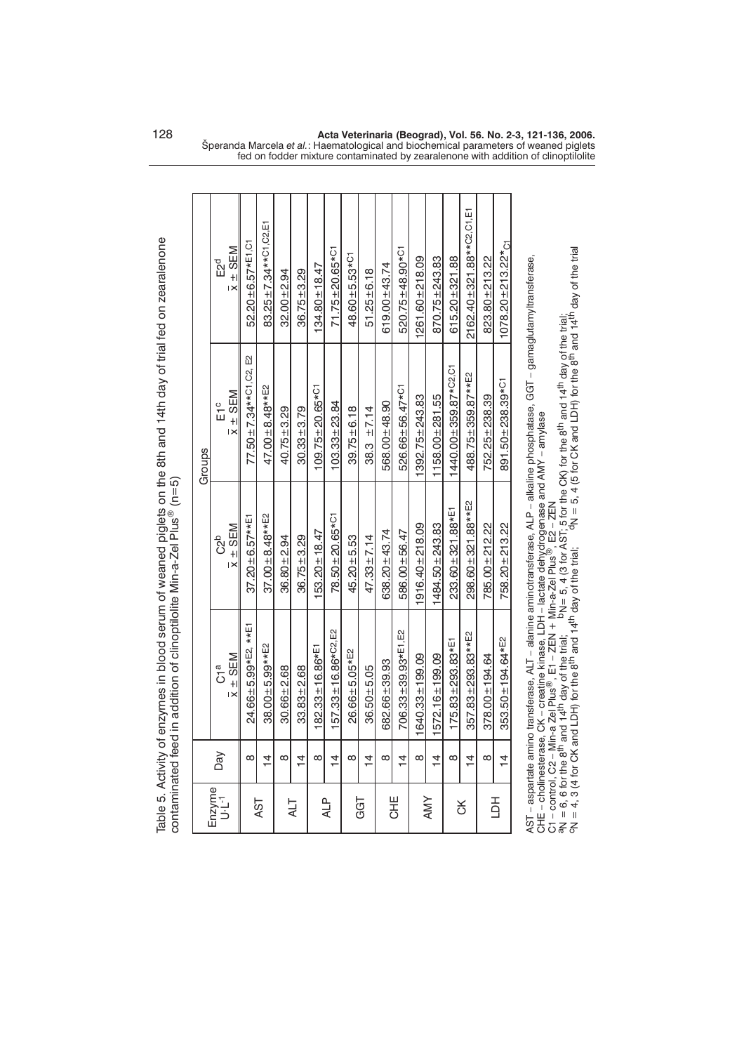|                              |                |                                    |                               | Groups                            |                             |
|------------------------------|----------------|------------------------------------|-------------------------------|-----------------------------------|-----------------------------|
| Enzyme<br>U <sub>'-L'1</sub> | Day            | a<br>G                             | c <sub>2</sub> b              | с<br>Ш                            | E2d                         |
|                              |                | $\bar{x}$ $\pm$ SEM                | $\bar{x} \pm \underline{SEM}$ | $\bar{x}$ $\pm$ SEM               | $\bar{x}$ $\pm$ SEM         |
|                              | $\infty$       | 24.66±5.99*E2, **E1                | $37.20 \pm 6.57$ **E1         | 77.50±7.34**C1,C2, E2             | 52.20±6.57*E1,C1            |
| 481                          | $\frac{4}{4}$  | $38.00 \pm 5.99***$ E2             | $37.00 + 8.48***$ E2          | 47.00 $\pm$ 8.48** E <sub>2</sub> | 83.25±7.34**C1,C2.E1        |
|                              | $\infty$       | $30.66 \pm 2.68$                   | $36.80 + 2.94$                | $40.75 + 3.29$                    | $32.00 + 2.94$              |
| TJA                          | $\frac{4}{4}$  | $33.83 + 2.68$                     | $36.75 + 3.29$                | $30.33 \pm 3.79$                  | $36.75 \pm 3.29$            |
|                              | $\infty$       | $182.33 \pm 16.86*$ <sup>E1</sup>  | $53.20 \pm 18.47$             | $109.75 + 20.65 * C1$             | $134.80 \pm 18.47$          |
| <b>ALP</b>                   | $\frac{4}{1}$  | $157.33 \pm 16.86$ *C2, E2         | $78.50 \pm 20.65$ *C1         | $103.33 \pm 23.84$                | $71.75 \pm 20.65$ *C1       |
|                              | ∞              | $26.66 \pm 5.05*E2$                | $45.20 + 5.53$                | $39.75 \pm 6.18$                  | $48.60 + 5.53 * C1$         |
| GGT                          | $\frac{4}{4}$  | $36.50 + 5.05$                     | $47.33 \pm 7.14$              | $38.3 \pm 7.14$                   | $51.25 \pm 6.18$            |
|                              | ∞              | 682.66±39.93                       | 638.20±43.74                  | 568.00±48.90                      | $619.00 + 43.74$            |
| <b>UHE</b>                   | $\overline{4}$ | 706.33±39.93*E1,E2                 | 586.00±56.47                  | 526.66±56.47* <sup>C1</sup>       | 520.75±48.90* <sup>C1</sup> |
|                              | $\infty$       | 1640.33±199.09                     | $1916.40 \pm 218.09$          | $1392.75 + 243.83$                | $1261.60 + 218.09$          |
| <b>AMY</b>                   | $\frac{4}{4}$  | $1572.16 \pm 199.09$               | $1484.50 + 243.83$            | $1158.00 \pm 281.55$              | $870.75 \pm 243.83$         |
|                              | $\infty$       | $175.83 \pm 293.83*$ <sup>E1</sup> | 233.60±321.88*E1              | $1440.00 + 359.87$ *C2.           | $615.20 + 321.88$           |
| š                            | $\frac{4}{1}$  | $357.83 \pm 293.83***$ E2          | 298.60±321.88**E2             | 488.75±359.87**E2                 | 2162.40±321.88**C2.C1.E1    |
|                              | $\infty$       | $378.00 \pm 194.64$                | 785.00±212.22                 | 752.25 ± 238.39                   | 823.80 ± 213.22             |
| 百                            | $\overline{4}$ | $353.50 \pm 194.64*E2$             | 758.20 ± 213.22               | 891.50±238.39* <sup>C1</sup>      | $1078.20 \pm 213.22$ * C1   |

Table 5. Activity of enzymes in blood serum of weaned piglets on the 8th and 14th day of trial fed on zearalenone contaminated feed in addition of clinoptilolite Min-a-Zel Plus ® (n=5)

AST – aspartate amino transferase, ALT – alanine aminotransferase, ALP – alkaline phosphatase, GGT – gamaglutamyltransferase, CHE – cholinesterase, CK – creatine kinase, LDH – lactate dehydrogenase and AMY – amylase AST – aspartate amino transferase, ALT – alanine aminotransferase, ALP – alkaline phosphatase, GGT – gamaglutamyltransferase,<br>CHE – cholinesterase, CK – creatine kinase, LDH – lactate dehydrogenase and AMY – amylase<br>C1 – c

C1 – control, C2 – Min-a Zel Plus  $\overline{\circ}$ , E1 – ZEN + Min-a-Zel Plus

an = 6, 6 for the 8<sup>th</sup> and 14<sup>th</sup> day of the trial; bn = 5, 4 (3 for AST; 5 for the CK) for the 8<sup>th</sup> and 14<sup>th</sup> day of the trial;<br>cn = 4, 3 (4 for CK and LDH) for the 8<sup>th</sup> and 14<sup>th</sup> day of the trial; <sup>o</sup>ln = 5, 4 (5 f

128 **Acta Veterinaria (Beograd), Vol. 56. No. 2-3, 121-136, 2006.** Speranda Marcela *et al.*: Haematological and biochemical parameters of weaned piglets fed on fodder mixture contaminated by zearalenone with addition of clinoptilolite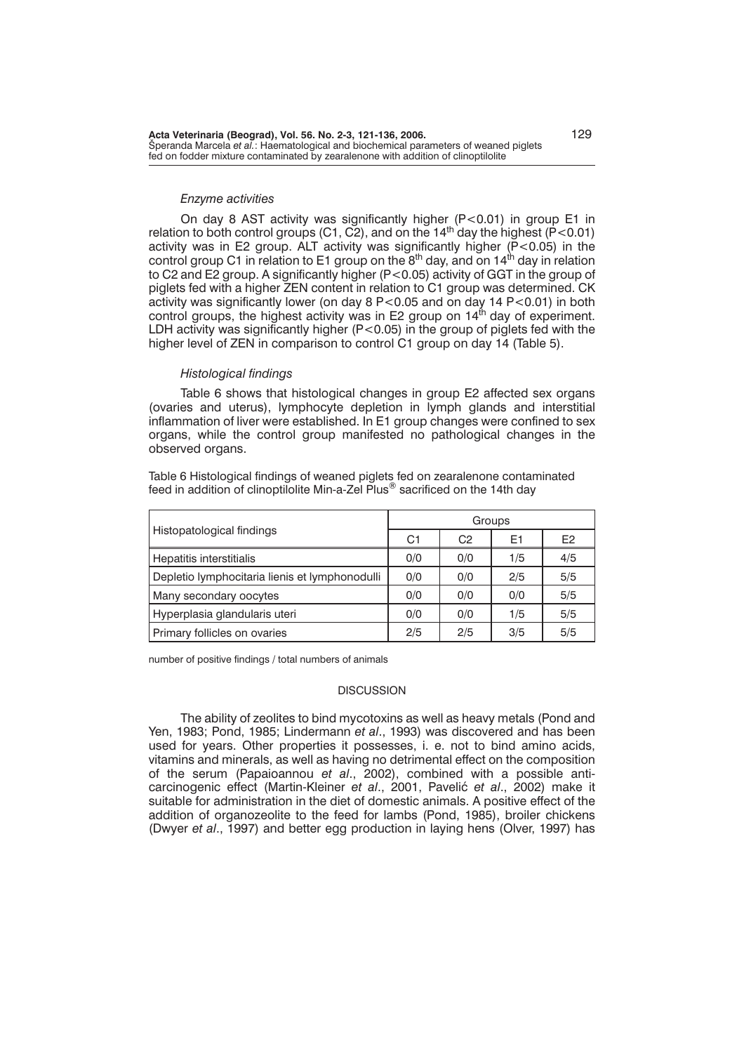#### *Enzyme activities*

On day 8 AST activity was significantly higher (P<0.01) in group E1 in relation to both control groups (C1, C2), and on the  $14<sup>th</sup>$  day the highest (P < 0.01) activity was in E2 group. ALT activity was significantly higher (P<0.05) in the control group C1 in relation to E1 group on the  $8<sup>th</sup>$  day, and on 14<sup>th</sup> day in relation to C2 and E2 group. A significantly higher (P<0.05) activity of GGT in the group of piglets fed with a higher ZEN content in relation to C1 group was determined. CK activity was significantly lower (on day 8 P<0.05 and on day 14 P<0.01) in both control groups, the highest activity was in E2 group on 14 $^{\text{th}}$  day of experiment. LDH activity was significantly higher  $(P<0.05)$  in the group of piglets fed with the higher level of ZEN in comparison to control C1 group on day 14 (Table 5).

#### *Histological findings*

Table 6 shows that histological changes in group E2 affected sex organs (ovaries and uterus), lymphocyte depletion in lymph glands and interstitial inflammation of liver were established. In E1 group changes were confined to sex organs, while the control group manifested no pathological changes in the observed organs.

Table 6 Histological findings of weaned piglets fed on zearalenone contaminated feed in addition of clinoptilolite Min-a-Zel Plus<sup>®</sup> sacrificed on the 14th day

|                                                |     |                | Groups |                |
|------------------------------------------------|-----|----------------|--------|----------------|
| Histopatological findings                      | C1  | C <sub>2</sub> | E1     | E <sub>2</sub> |
| Hepatitis interstitialis                       | 0/0 | 0/0            | 1/5    | 4/5            |
| Depletio lymphocitaria lienis et lymphonodulli | 0/0 | 0/0            | 2/5    | 5/5            |
| Many secondary oocytes                         | 0/0 | 0/0            | 0/0    | 5/5            |
| Hyperplasia glandularis uteri                  | 0/0 | 0/0            | 1/5    | 5/5            |
| Primary follicles on ovaries                   | 2/5 | 2/5            | 3/5    | 5/5            |

number of positive findings / total numbers of animals

## **DISCUSSION**

The ability of zeolites to bind mycotoxins as well as heavy metals (Pond and Yen, 1983; Pond, 1985; Lindermann *et al*., 1993) was discovered and has been used for years. Other properties it possesses, i. e. not to bind amino acids, vitamins and minerals, as well as having no detrimental effect on the composition of the serum (Papaioannou *et al*., 2002), combined with a possible anticarcinogenic effect (Martin-Kleiner *et al.*, 2001, Pavelić *et al.*, 2002) make it suitable for administration in the diet of domestic animals. A positive effect of the addition of organozeolite to the feed for lambs (Pond, 1985), broiler chickens (Dwyer *et al*., 1997) and better egg production in laying hens (Olver, 1997) has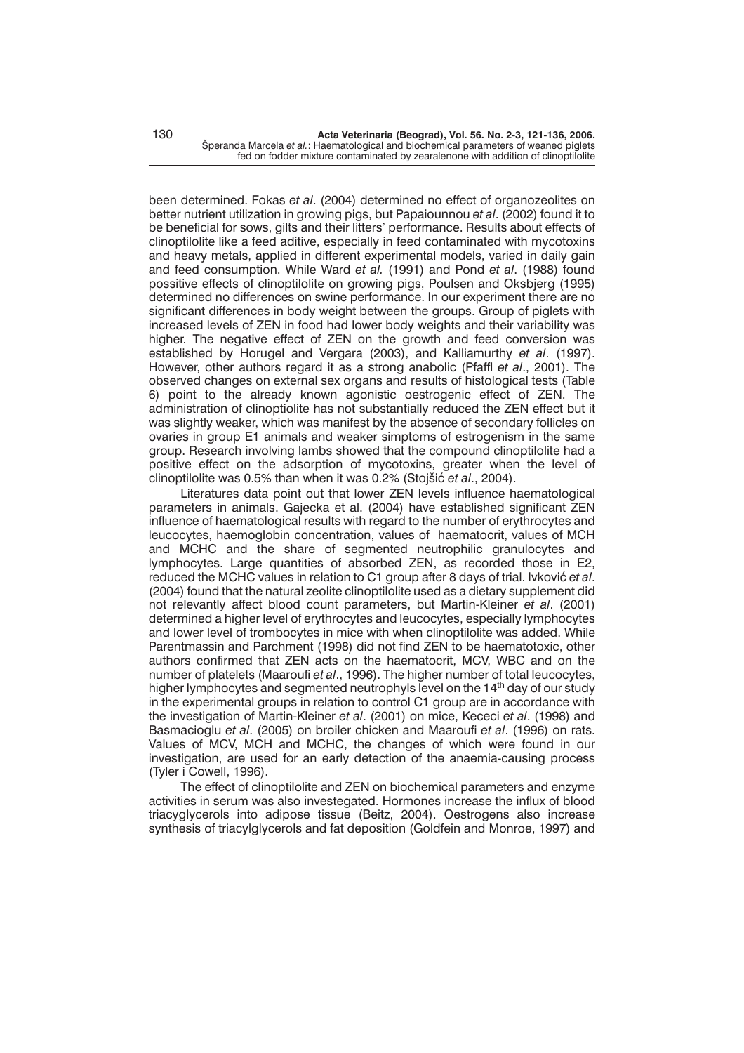been determined. Fokas *et al*. (2004) determined no effect of organozeolites on better nutrient utilization in growing pigs, but Papaiounnou *et al*. (2002) found it to be beneficial for sows, gilts and their litters' performance. Results about effects of clinoptilolite like a feed aditive, especially in feed contaminated with mycotoxins and heavy metals, applied in different experimental models, varied in daily gain and feed consumption. While Ward *et al.* (1991) and Pond *et al*. (1988) found possitive effects of clinoptilolite on growing pigs, Poulsen and Oksbjerg (1995) determined no differences on swine performance. In our experiment there are no significant differences in body weight between the groups. Group of piglets with increased levels of ZEN in food had lower body weights and their variability was higher. The negative effect of ZEN on the growth and feed conversion was established by Horugel and Vergara (2003), and Kalliamurthy *et al*. (1997). However, other authors regard it as a strong anabolic (Pfaffl *et al*., 2001). The observed changes on external sex organs and results of histological tests (Table 6) point to the already known agonistic oestrogenic effect of ZEN. The administration of clinoptiolite has not substantially reduced the ZEN effect but it was slightly weaker, which was manifest by the absence of secondary follicles on ovaries in group E1 animals and weaker simptoms of estrogenism in the same group. Research involving lambs showed that the compound clinoptilolite had a positive effect on the adsorption of mycotoxins, greater when the level of clinoptilolite was 0.5% than when it was 0.2% (Stojšić et al., 2004).

Literatures data point out that lower ZEN levels influence haematological parameters in animals. Gajecka et al. (2004) have established significant ZEN influence of haematological results with regard to the number of erythrocytes and leucocytes, haemoglobin concentration, values of haematocrit, values of MCH and MCHC and the share of segmented neutrophilic granulocytes and lymphocytes. Large quantities of absorbed ZEN, as recorded those in E2, reduced the MCHC values in relation to C1 group after 8 days of trial. Ivković et al. (2004) found that the natural zeolite clinoptilolite used as a dietary supplement did not relevantly affect blood count parameters, but Martin-Kleiner *et al*. (2001) determined a higher level of erythrocytes and leucocytes, especially lymphocytes and lower level of trombocytes in mice with when clinoptilolite was added. While Parentmassin and Parchment (1998) did not find ZEN to be haematotoxic, other authors confirmed that ZEN acts on the haematocrit, MCV, WBC and on the number of platelets (Maaroufi *et al*., 1996). The higher number of total leucocytes, higher lymphocytes and segmented neutrophyls level on the 14<sup>th</sup> day of our study in the experimental groups in relation to control C1 group are in accordance with the investigation of Martin-Kleiner *et al*. (2001) on mice, Kececi *et al*. (1998) and Basmacioglu *et al*. (2005) on broiler chicken and Maaroufi *et al*. (1996) on rats. Values of MCV, MCH and MCHC, the changes of which were found in our investigation, are used for an early detection of the anaemia-causing process (Tyler i Cowell, 1996).

The effect of clinoptilolite and ZEN on biochemical parameters and enzyme activities in serum was also investegated. Hormones increase the influx of blood triacyglycerols into adipose tissue (Beitz, 2004). Oestrogens also increase synthesis of triacylglycerols and fat deposition (Goldfein and Monroe, 1997) and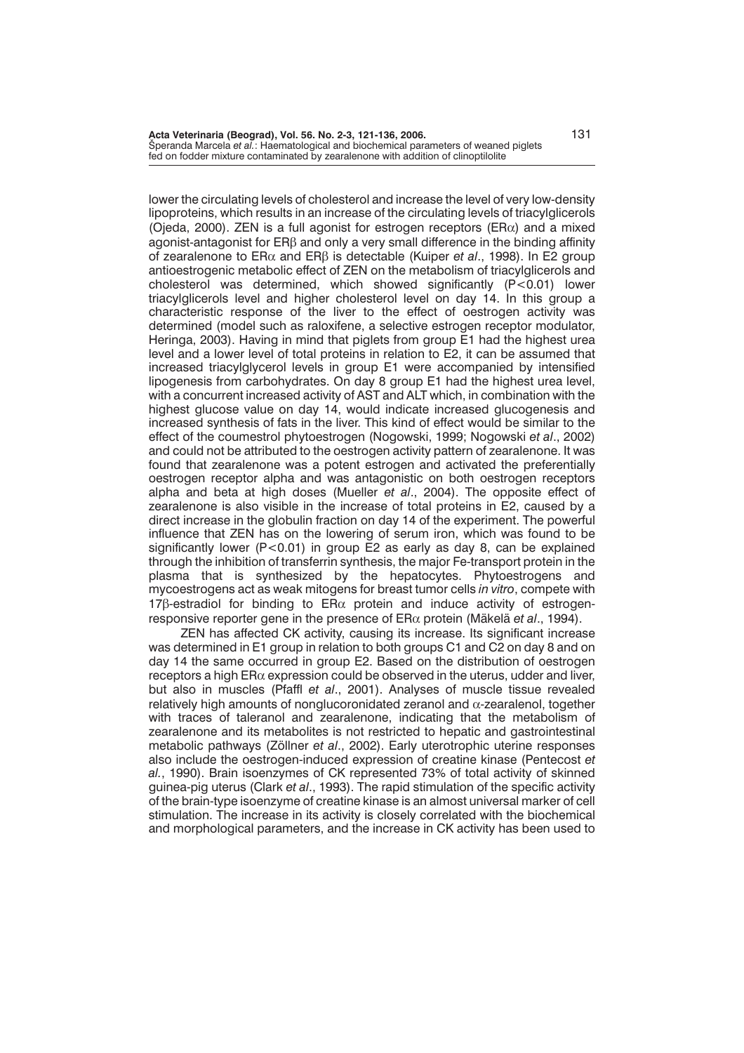**Acta Veterinaria (Beograd), Vol. 56. No. 2-3, 121-136, 2006.** 131 Speranda Marcela et al.: Haematological and biochemical parameters of weaned piglets fed on fodder mixture contaminated by zearalenone with addition of clinoptilolite

lower the circulating levels of cholesterol and increase the level of very low-density lipoproteins, which results in an increase of the circulating levels of triacylglicerols (Ojeda, 2000). ZEN is a full agonist for estrogen receptors (ER $\alpha$ ) and a mixed agonist-antagonist for ERB and only a very small difference in the binding affinity of zearalenone to ERα and ERβ is detectable (Kuiper *et al.*, 1998). In E2 group antioestrogenic metabolic effect of ZEN on the metabolism of triacylglicerols and cholesterol was determined, which showed significantly  $(P<0.01)$  lower triacylglicerols level and higher cholesterol level on day 14. In this group a characteristic response of the liver to the effect of oestrogen activity was determined (model such as raloxifene, a selective estrogen receptor modulator, Heringa, 2003). Having in mind that piglets from group E1 had the highest urea level and a lower level of total proteins in relation to E2, it can be assumed that increased triacylglycerol levels in group E1 were accompanied by intensified lipogenesis from carbohydrates. On day 8 group E1 had the highest urea level, with a concurrent increased activity of AST and ALT which, in combination with the highest glucose value on day 14, would indicate increased glucogenesis and increased synthesis of fats in the liver. This kind of effect would be similar to the effect of the coumestrol phytoestrogen (Nogowski, 1999; Nogowski *et al*., 2002) and could not be attributed to the oestrogen activity pattern of zearalenone. It was found that zearalenone was a potent estrogen and activated the preferentially oestrogen receptor alpha and was antagonistic on both oestrogen receptors alpha and beta at high doses (Mueller *et al*., 2004). The opposite effect of zearalenone is also visible in the increase of total proteins in E2, caused by a direct increase in the globulin fraction on day 14 of the experiment. The powerful influence that ZEN has on the lowering of serum iron, which was found to be significantly lower ( $P < 0.01$ ) in group E2 as early as day 8, can be explained through the inhibition of transferrin synthesis, the major Fe-transport protein in the plasma that is synthesized by the hepatocytes. Phytoestrogens and mycoestrogens act as weak mitogens for breast tumor cells *in vitro*, compete with 17 $\beta$ -estradiol for binding to ER $\alpha$  protein and induce activity of estrogenresponsive reporter gene in the presence of ERα protein (Mäkelä *et al*., 1994).

ZEN has affected CK activity, causing its increase. Its significant increase was determined in E1 group in relation to both groups C1 and C2 on day 8 and on day 14 the same occurred in group E2. Based on the distribution of oestrogen receptors a high ER $\alpha$  expression could be observed in the uterus, udder and liver, but also in muscles (Pfaffl *et al*., 2001). Analyses of muscle tissue revealed relatively high amounts of nonglucoronidated zeranol and  $\alpha$ -zearalenol, together with traces of taleranol and zearalenone, indicating that the metabolism of zearalenone and its metabolites is not restricted to hepatic and gastrointestinal metabolic pathways (Zöllner *et al*., 2002). Early uterotrophic uterine responses also include the oestrogen-induced expression of creatine kinase (Pentecost *et al.*, 1990). Brain isoenzymes of CK represented 73% of total activity of skinned guinea-pig uterus (Clark *et al*., 1993). The rapid stimulation of the specific activity of the brain-type isoenzyme of creatine kinase is an almost universal marker of cell stimulation. The increase in its activity is closely correlated with the biochemical and morphological parameters, and the increase in CK activity has been used to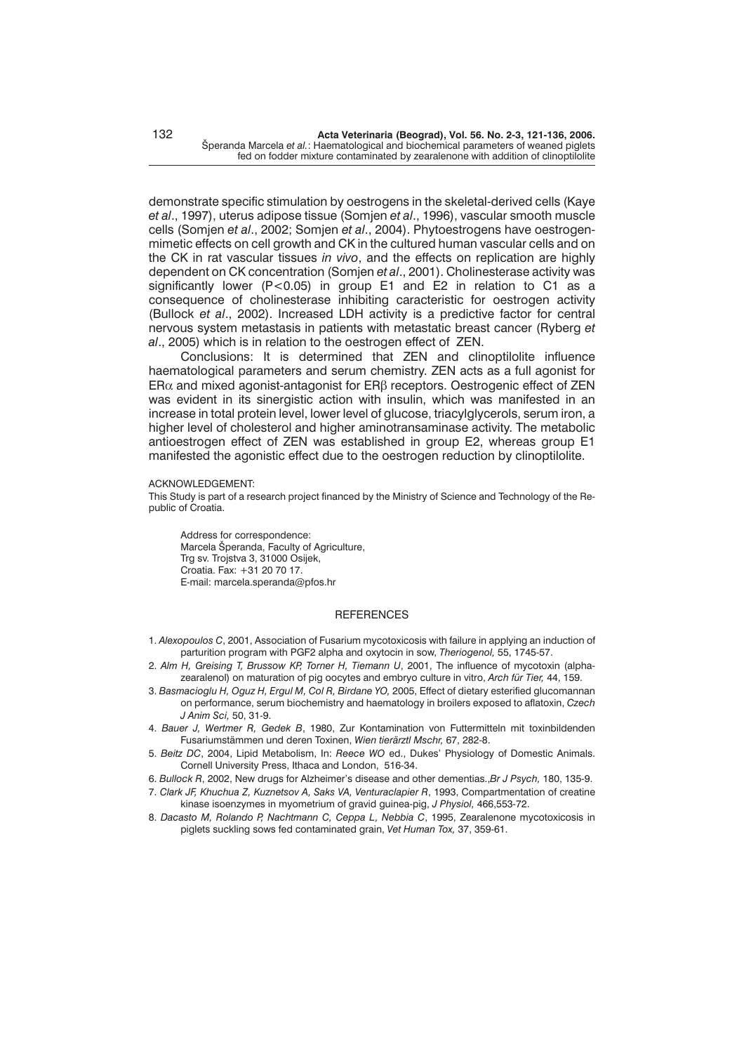demonstrate specific stimulation by oestrogens in the skeletal-derived cells (Kaye *et al*., 1997), uterus adipose tissue (Somjen *et al*., 1996), vascular smooth muscle cells (Somjen *et al*., 2002; Somjen *et al*., 2004). Phytoestrogens have oestrogenmimetic effects on cell growth and CK in the cultured human vascular cells and on the CK in rat vascular tissues *in vivo*, and the effects on replication are highly dependent on CK concentration (Somjen *et al*., 2001). Cholinesterase activity was significantly lower (P<0.05) in group E1 and E2 in relation to C1 as a consequence of cholinesterase inhibiting caracteristic for oestrogen activity (Bullock *et al*., 2002). Increased LDH activity is a predictive factor for central nervous system metastasis in patients with metastatic breast cancer (Ryberg *et al*., 2005) which is in relation to the oestrogen effect of ZEN.

Conclusions: It is determined that ZEN and clinoptilolite influence haematological parameters and serum chemistry. ZEN acts as a full agonist for ER $\alpha$  and mixed agonist-antagonist for ER $\beta$  receptors. Oestrogenic effect of ZEN was evident in its sinergistic action with insulin, which was manifested in an increase in total protein level, lower level of glucose, triacylglycerols, serum iron, a higher level of cholesterol and higher aminotransaminase activity. The metabolic antioestrogen effect of ZEN was established in group E2, whereas group E1 manifested the agonistic effect due to the oestrogen reduction by clinoptilolite.

#### ACKNOWLEDGEMENT:

This Study is part of a research project financed by the Ministry of Science and Technology of the Republic of Croatia.

Address for correspondence: Marcela Šperanda, Faculty of Agriculture, Trg sv. Trojstva 3, 31000 Osijek, Croatia. Fax: +31 20 70 17. E-mail: marcela.speranda@pfos.hr

#### **REFERENCES**

- 1. *Alexopoulos C*, 2001, Association of Fusarium mycotoxicosis with failure in applying an induction of parturition program with PGF2 alpha and oxytocin in sow, *Theriogenol,* 55, 1745-57.
- 2. *Alm H, Greising T, Brussow KP, Torner H, Tiemann U*, 2001, The influence of mycotoxin (alphazearalenol) on maturation of pig oocytes and embryo culture in vitro, *Arch für Tier,* 44, 159.
- 3. *Basmacioglu H, Oguz H, Ergul M, Col R, Birdane YO,* 2005, Effect of dietary esterified glucomannan on performance, serum biochemistry and haematology in broilers exposed to aflatoxin, *Czech J Anim Sci,* 50, 31-9.
- 4. *Bauer J, Wertmer R, Gedek B*, 1980, Zur Kontamination von Futtermitteln mit toxinbildenden Fusariumstämmen und deren Toxinen, *Wien tierärztl Mschr,* 67, 282-8.
- 5. *Beitz DC*, 2004, Lipid Metabolism, In: *Reece WO* ed., Dukes' Physiology of Domestic Animals. Cornell University Press, Ithaca and London, 516-34.
- 6. *Bullock R*, 2002, New drugs for Alzheimer's disease and other dementias.,*Br J Psych,* 180, 135-9.
- 7. *Clark JF, Khuchua Z, Kuznetsov A, Saks VA, Venturaclapier R*, 1993, Compartmentation of creatine kinase isoenzymes in myometrium of gravid guinea-pig, *J Physiol,* 466,553-72.
- 8. *Dacasto M, Rolando P, Nachtmann C, Ceppa L, Nebbia C*, 1995, Zearalenone mycotoxicosis in piglets suckling sows fed contaminated grain, *Vet Human Tox,* 37, 359-61.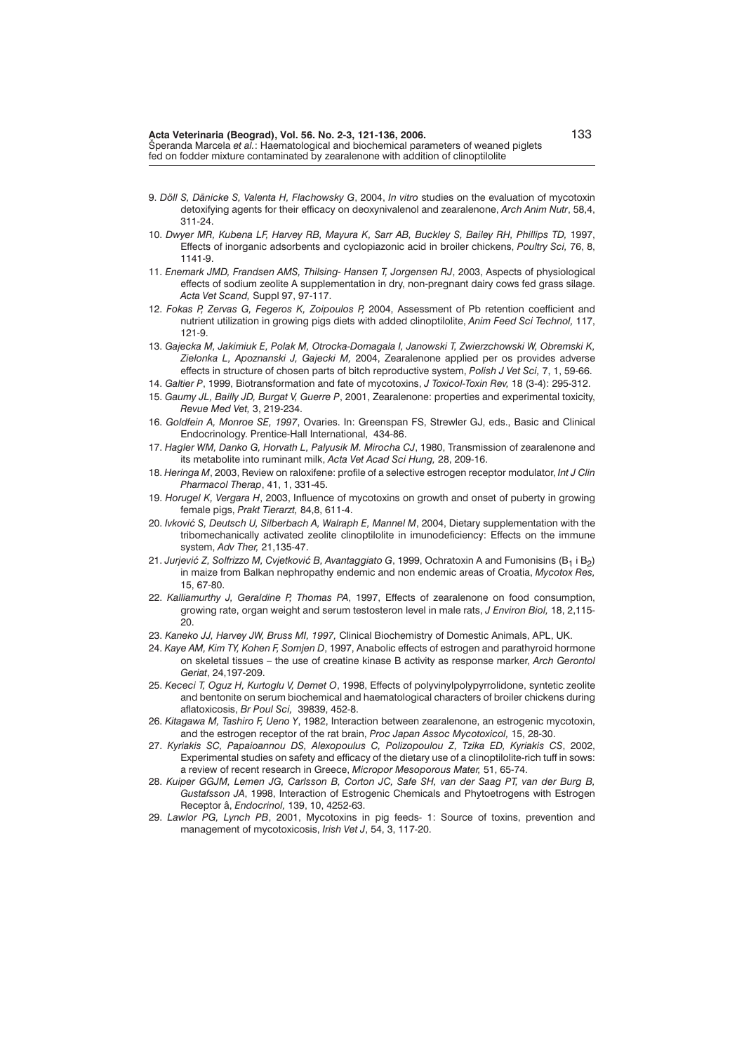- 9. *Döll S, Dänicke S, Valenta H, Flachowsky G*, 2004, *In vitro* studies on the evaluation of mycotoxin detoxifying agents for their efficacy on deoxynivalenol and zearalenone, *Arch Anim Nutr*, 58,4, 311-24.
- 10. *Dwyer MR, Kubena LF, Harvey RB, Mayura K, Sarr AB, Buckley S, Bailey RH, Phillips TD,* 1997, Effects of inorganic adsorbents and cyclopiazonic acid in broiler chickens, *Poultry Sci,* 76, 8, 1141-9.
- 11. *Enemark JMD, Frandsen AMS, Thilsing- Hansen T, Jorgensen RJ*, 2003, Aspects of physiological effects of sodium zeolite A supplementation in dry, non-pregnant dairy cows fed grass silage. *Acta Vet Scand,* Suppl 97, 97-117.
- 12. *Fokas P, Zervas G, Fegeros K, Zoipoulos P,* 2004, Assessment of Pb retention coefficient and nutrient utilization in growing pigs diets with added clinoptilolite, *Anim Feed Sci Technol,* 117, 121-9.
- 13. *Gajecka M, Jakimiuk E, Polak M, Otrocka-Domagala I, Janowski T, Zwierzchowski W, Obremski K, Zielonka L, Apoznanski J, Gajecki M,* 2004, Zearalenone applied per os provides adverse effects in structure of chosen parts of bitch reproductive system, *Polish J Vet Sci,* 7, 1, 59-66.
- 14. *Galtier P*, 1999, Biotransformation and fate of mycotoxins, *J Toxicol-Toxin Rev,* 18 (3-4): 295-312.
- 15. *Gaumy JL, Bailly JD, Burgat V, Guerre P*, 2001, Zearalenone: properties and experimental toxicity, *Revue Med Vet,* 3, 219-234.
- 16. *Goldfein A, Monroe SE, 1997*, Ovaries. In: Greenspan FS, Strewler GJ, eds., Basic and Clinical Endocrinology. Prentice-Hall International, 434-86.
- 17. *Hagler WM, Danko G, Horvath L, Palyusik M. Mirocha CJ*, 1980, Transmission of zearalenone and its metabolite into ruminant milk, *Acta Vet Acad Sci Hung,* 28, 209-16.
- 18. *Heringa M*, 2003, Review on raloxifene: profile of a selective estrogen receptor modulator, *Int J Clin Pharmacol Therap*, 41, 1, 331-45.
- 19. *Horugel K, Vergara H*, 2003, Influence of mycotoxins on growth and onset of puberty in growing female pigs, *Prakt Tierarzt,* 84,8, 611-4.
- 20. *Ivković S, Deutsch U, Silberbach A, Walraph E, Mannel M, 2004, Dietary supplementation with the* tribomechanically activated zeolite clinoptilolite in imunodeficiency: Effects on the immune system, *Adv Ther,* 21,135-47.
- 21. Jurjević Z, Solfrizzo M, Cvjetković B, Avantaggiato G, 1999, Ochratoxin A and Fumonisins (B<sub>1</sub> i B<sub>2</sub>) in maize from Balkan nephropathy endemic and non endemic areas of Croatia, *Mycotox Res,* 15, 67-80.
- 22. *Kalliamurthy J, Geraldine P, Thomas PA*, 1997, Effects of zearalenone on food consumption, growing rate, organ weight and serum testosteron level in male rats, *J Environ Biol,* 18, 2,115-  $\frac{5}{20}$
- 23. *Kaneko JJ, Harvey JW, Bruss MI, 1997,* Clinical Biochemistry of Domestic Animals, APL, UK.
- 24. *Kaye AM, Kim TY, Kohen F, Somjen D*, 1997, Anabolic effects of estrogen and parathyroid hormone on skeletal tissues – the use of creatine kinase B activity as response marker, *Arch Gerontol Geriat*, 24,197-209.
- 25. *Kececi T, Oguz H, Kurtoglu V, Demet O*, 1998, Effects of polyvinylpolypyrrolidone, syntetic zeolite and bentonite on serum biochemical and haematological characters of broiler chickens during aflatoxicosis, *Br Poul Sci,* 39839, 452-8.
- 26. *Kitagawa M, Tashiro F, Ueno Y*, 1982, Interaction between zearalenone, an estrogenic mycotoxin, and the estrogen receptor of the rat brain, *Proc Japan Assoc Mycotoxicol,* 15, 28-30.
- 27. *Kyriakis SC, Papaioannou DS, Alexopoulus C, Polizopoulou Z, Tzika ED, Kyriakis CS*, 2002, Experimental studies on safety and efficacy of the dietary use of a clinoptilolite-rich tuff in sows: a review of recent research in Greece, *Micropor Mesoporous Mater,* 51, 65-74.
- 28. *Kuiper GGJM, Lemen JG, Carlsson B, Corton JC, Safe SH, van der Saag PT, van der Burg B, Gustafsson JA*, 1998, Interaction of Estrogenic Chemicals and Phytoetrogens with Estrogen Receptor â, *Endocrinol,* 139, 10, 4252-63.
- 29. *Lawlor PG, Lynch PB*, 2001, Mycotoxins in pig feeds- 1: Source of toxins, prevention and management of mycotoxicosis, *Irish Vet J*, 54, 3, 117-20.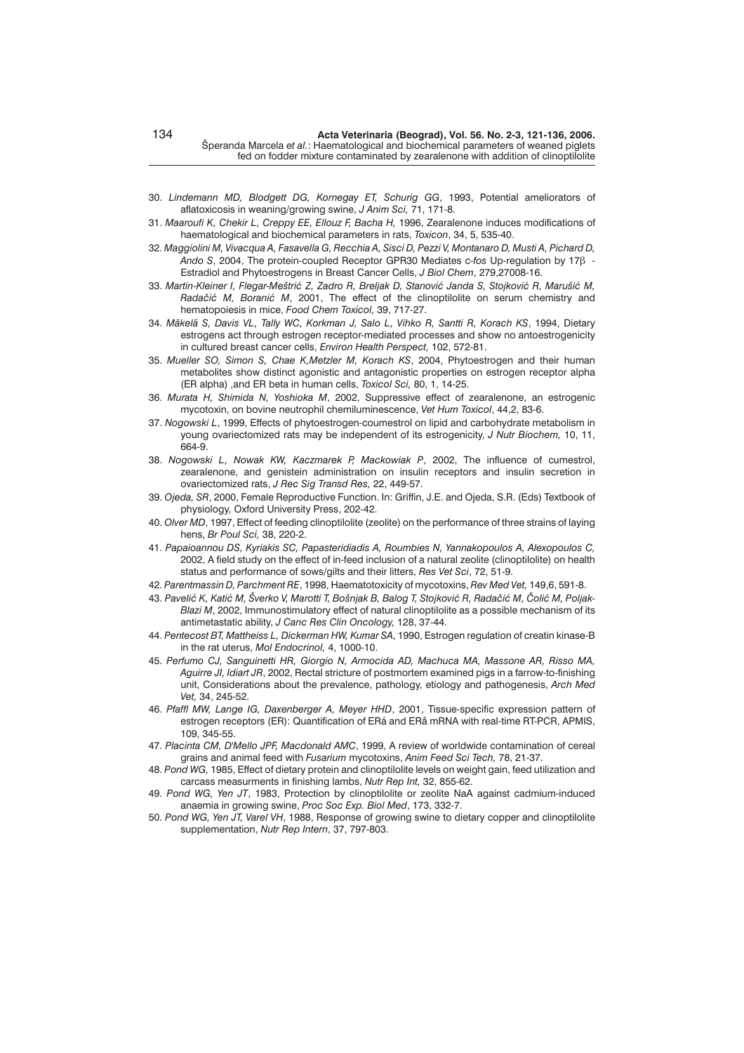- 30. *Lindemann MD, Blodgett DG, Kornegay ET, Schurig GG*, 1993, Potential ameliorators of aflatoxicosis in weaning/growing swine, *J Anim Sci,* 71, 171-8.
- 31. *Maaroufi K, Chekir L, Creppy EE, Ellouz F, Bacha H,* 1996, Zearalenone induces modifications of haematological and biochemical parameters in rats, *Toxicon*, 34, 5, 535-40.
- 32. *Maggiolini M, Vivacqua A, Fasavella G, Recchia A, Sisci D, Pezzi V, Montanaro D, Musti A, Pichard D, Ando S*, 2004, The protein-coupled Receptor GPR30 Mediates c-*fos* Up-regulation by 17 - Estradiol and Phytoestrogens in Breast Cancer Cells, *J Biol Chem*, 279,27008-16.
- 33. Martin-Kleiner I, Flegar-Meštrić Z, Zadro R, Breljak D, Stanović Janda S, Stojković R, Marušić M, *Radačić M, Boranić M, 2001, The effect of the clinoptilolite on serum chemistry and* hematopoiesis in mice, *Food Chem Toxicol,* 39, 717-27.
- 34. *Mäkelä S, Davis VL, Tally WC, Korkman J, Salo L, Vihko R, Santti R, Korach KS*, 1994, Dietary estrogens act through estrogen receptor-mediated processes and show no antoestrogenicity in cultured breast cancer cells, *Environ Health Perspect,* 102, 572-81.
- 35. *Mueller SO, Simon S, Chae K,Metzler M, Korach KS*, 2004, Phytoestrogen and their human metabolites show distinct agonistic and antagonistic properties on estrogen receptor alpha (ER alpha) ,and ER beta in human cells, *Toxicol Sci,* 80, 1, 14-25.
- 36. *Murata H, Shimida N, Yoshioka M*, 2002, Suppressive effect of zearalenone, an estrogenic mycotoxin, on bovine neutrophil chemiluminescence, *Vet Hum Toxicol*, 44,2, 83-6.
- 37. *Nogowski L*, 1999, Effects of phytoestrogen-coumestrol on lipid and carbohydrate metabolism in young ovariectomized rats may be independent of its estrogenicity, *J Nutr Biochem,* 10, 11, 664-9.
- 38. *Nogowski L, Nowak KW, Kaczmarek P, Mackowiak P*, 2002, The influence of cumestrol, zearalenone, and genistein administration on insulin receptors and insulin secretion in ovariectomized rats, *J Rec Sig Transd Res,* 22, 449-57.
- 39. *Ojeda, SR*, 2000, Female Reproductive Function. In: Griffin, J.E. and Ojeda, S.R. (Eds) Textbook of physiology, Oxford University Press, 202-42.
- 40. *Olver MD*, 1997, Effect of feeding clinoptilolite (zeolite) on the performance of three strains of laying hens, *Br Poul Sci,* 38, 220-2.
- 41. *Papaioannou DS, Kyriakis SC, Papasteridiadis A, Roumbies N, Yannakopoulos A, Alexopoulos C,* 2002, A field study on the effect of in-feed inclusion of a natural zeolite (clinoptilolite) on health status and performance of sows/gilts and their litters, *Res Vet Sci*, 72, 51-9.
- 42. *Parentmassin D, Parchment RE*, 1998, Haematotoxicity of mycotoxins, *Rev Med Vet,* 149,6, 591-8.
- 43. Pavelić K, Katić M, Šverko V, Marotti T, Bošnjak B, Balog T, Stojković R, Radačić M, Čolić M, Poljak-*Blazi M*, 2002, Immunostimulatory effect of natural clinoptilolite as a possible mechanism of its antimetastatic ability, *J Canc Res Clin Oncology,* 128, 37-44.
- 44. *Pentecost BT, Mattheiss L, Dickerman HW, Kumar SA*, 1990, Estrogen regulation of creatin kinase-B in the rat uterus, *Mol Endocrinol,* 4, 1000-10.
- 45. *Perfumo CJ, Sanguinetti HR, Giorgio N, Armocida AD, Machuca MA, Massone AR, Risso MA, Aguirre JI, Idiart JR*, 2002, Rectal stricture of postmortem examined pigs in a farrow-to-finishing unit, Considerations about the prevalence, pathology, etiology and pathogenesis, *Arch Med Vet,* 34, 245-52.
- 46. *Pfaffl MW, Lange IG, Daxenberger A, Meyer HHD*, 2001, Tissue-specific expression pattern of estrogen receptors (ER): Quantification of ERá and ERâ mRNA with real-time RT-PCR, APMIS, 109, 345-55.
- 47. *Placinta CM, D'Mello JPF, Macdonald AMC*, 1999, A review of worldwide contamination of cereal grains and animal feed with *Fusarium* mycotoxins, *Anim Feed Sci Tech,* 78, 21-37.
- 48. *Pond WG,* 1985, Effect of dietary protein and clinoptilolite levels on weight gain, feed utilization and carcass measurments in finishing lambs, *Nutr Rep Int,* 32, 855-62.
- 49. *Pond WG, Yen JT*, 1983, Protection by clinoptilolite or zeolite NaA against cadmium-induced anaemia in growing swine, *Proc Soc Exp. Biol Med*, 173, 332-7.
- 50. *Pond WG, Yen JT, Varel VH*, 1988, Response of growing swine to dietary copper and clinoptilolite supplementation, *Nutr Rep Intern*, 37, 797-803.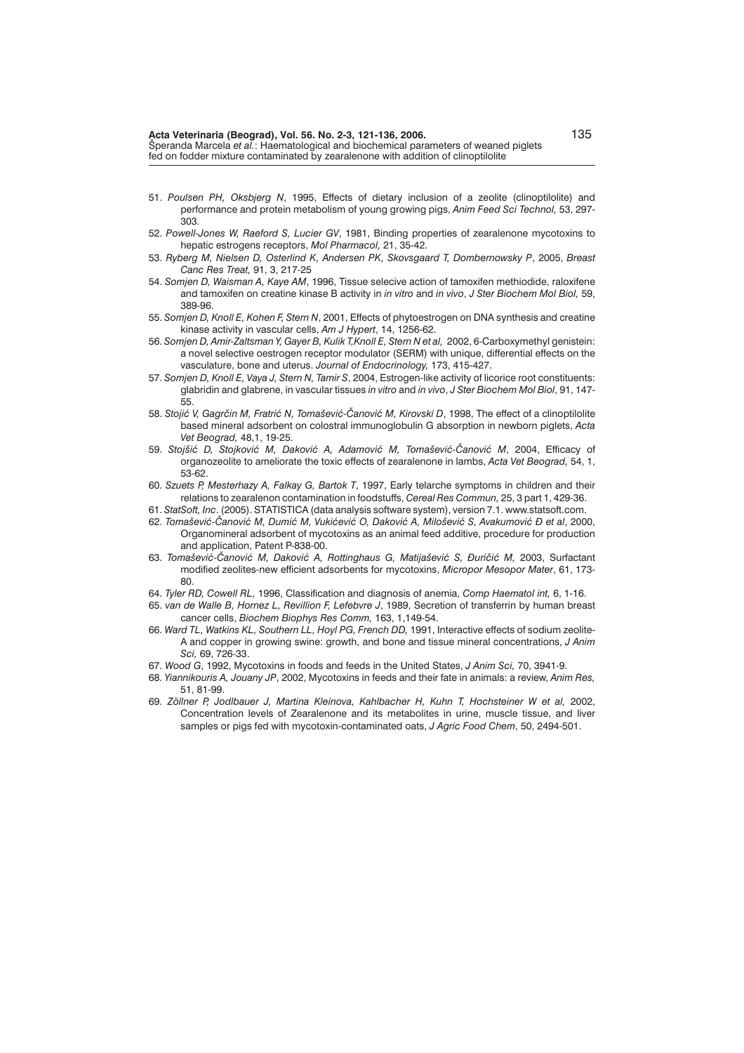- 51. *Poulsen PH, Oksbjerg N*, 1995, Effects of dietary inclusion of a zeolite (clinoptilolite) and performance and protein metabolism of young growing pigs, *Anim Feed Sci Technol,* 53, 297- 303.
- 52. *Powell-Jones W, Raeford S, Lucier GV*, 1981, Binding properties of zearalenone mycotoxins to hepatic estrogens receptors, *Mol Pharmacol,* 21, 35-42.
- 53. *Ryberg M, Nielsen D, Osterlind K, Andersen PK, Skovsgaard T, Dombernowsky P*, 2005, *Breast Canc Res Treat,* 91, 3, 217-25
- 54. *Somjen D, Waisman A, Kaye AM*, 1996, Tissue selecive action of tamoxifen methiodide, raloxifene and tamoxifen on creatine kinase B activity in *in vitro* and *in vivo*, *J Ster Biochem Mol Biol,* 59, 389-96.
- 55. *Somjen D, Knoll E, Kohen F, Stern N*, 2001, Effects of phytoestrogen on DNA synthesis and creatine kinase activity in vascular cells, *Am J Hypert*, 14, 1256-62.
- 56. *Somjen D, Amir-Zaltsman Y, Gayer B, Kulik T,Knoll E, Stern N et al,* 2002, 6-Carboxymethyl genistein: a novel selective oestrogen receptor modulator (SERM) with unique, differential effects on the vasculature, bone and uterus. *Journal of Endocrinology,* 173, 415-427.
- 57. *Somjen D, Knoll E, Vaya J, Stern N, Tamir S*, 2004, Estrogen-like activity of licorice root constituents: glabridin and glabrene, in vascular tissues *in vitro* and *in vivo*, *J Ster Biochem Mol Biol*, 91, 147- 55.
- 58. Stojić V, Gagrčin M, Fratrić N, Tomašević-Čanović M, Kirovski D, 1998, The effect of a clinoptilolite based mineral adsorbent on colostral immunoglobulin G absorption in newborn piglets, *Acta Vet Beograd,* 48,1, 19-25.
- 59. Stojšić D. Stojković M. Daković A. Adamović M. Tomašević-Čanović M. 2004, Efficacy of organozeolite to ameliorate the toxic effects of zearalenone in lambs, *Acta Vet Beograd,* 54, 1, 53-62.
- 60. *Szuets P, Mesterhazy A, Falkay G, Bartok T*, 1997, Early telarche symptoms in children and their relations to zearalenon contamination in foodstuffs, *Cereal Res Commun,* 25, 3 part 1, 429-36.
- 61. *StatSoft, Inc*. (2005). STATISTICA (data analysis software system), version 7.1. www.statsoft.com.
- 62. Tomašević-Čanović M, Dumić M, Vukićević O, Daković A, Milošević S, Avakumović Đ et al, 2000, Organomineral adsorbent of mycotoxins as an animal feed additive, procedure for production and application, Patent P-838-00.
- 63. *Tomašević-Čanović M, Daković A, Rottinghaus G, Matijašević S, Đuričić M, 2003, Surfactant* modified zeolites-new efficient adsorbents for mycotoxins, *Micropor Mesopor Mater*, 61, 173- 80.
- 64. *Tyler RD, Cowell RL,* 1996, Classification and diagnosis of anemia, *Comp Haematol int,* 6, 1-16.
- 65. *van de Walle B, Hornez L, Revillion F, Lefebvre J*, 1989, Secretion of transferrin by human breast cancer cells, *Biochem Biophys Res Comm,* 163, 1,149-54.
- 66. *Ward TL, Watkins KL, Southern LL, Hoyl PG, French DD,* 1991, Interactive effects of sodium zeolite-A and copper in growing swine: growth, and bone and tissue mineral concentrations, *J Anim Sci,* 69, 726-33.
- 67. *Wood G*, 1992, Mycotoxins in foods and feeds in the United States, *J Anim Sci,* 70, 3941-9.
- 68. *Yiannikouris A, Jouany JP*, 2002, Mycotoxins in feeds and their fate in animals: a review, *Anim Res,* 51, 81-99.
- 69. *Zöllner P, Jodlbauer J, Martina Kleinova, Kahlbacher H, Kuhn T, Hochsteiner W et al,* 2002, Concentration levels of Zearalenone and its metabolites in urine, muscle tissue, and liver samples or pigs fed with mycotoxin-contaminated oats, *J Agric Food Chem*, 50, 2494-501.